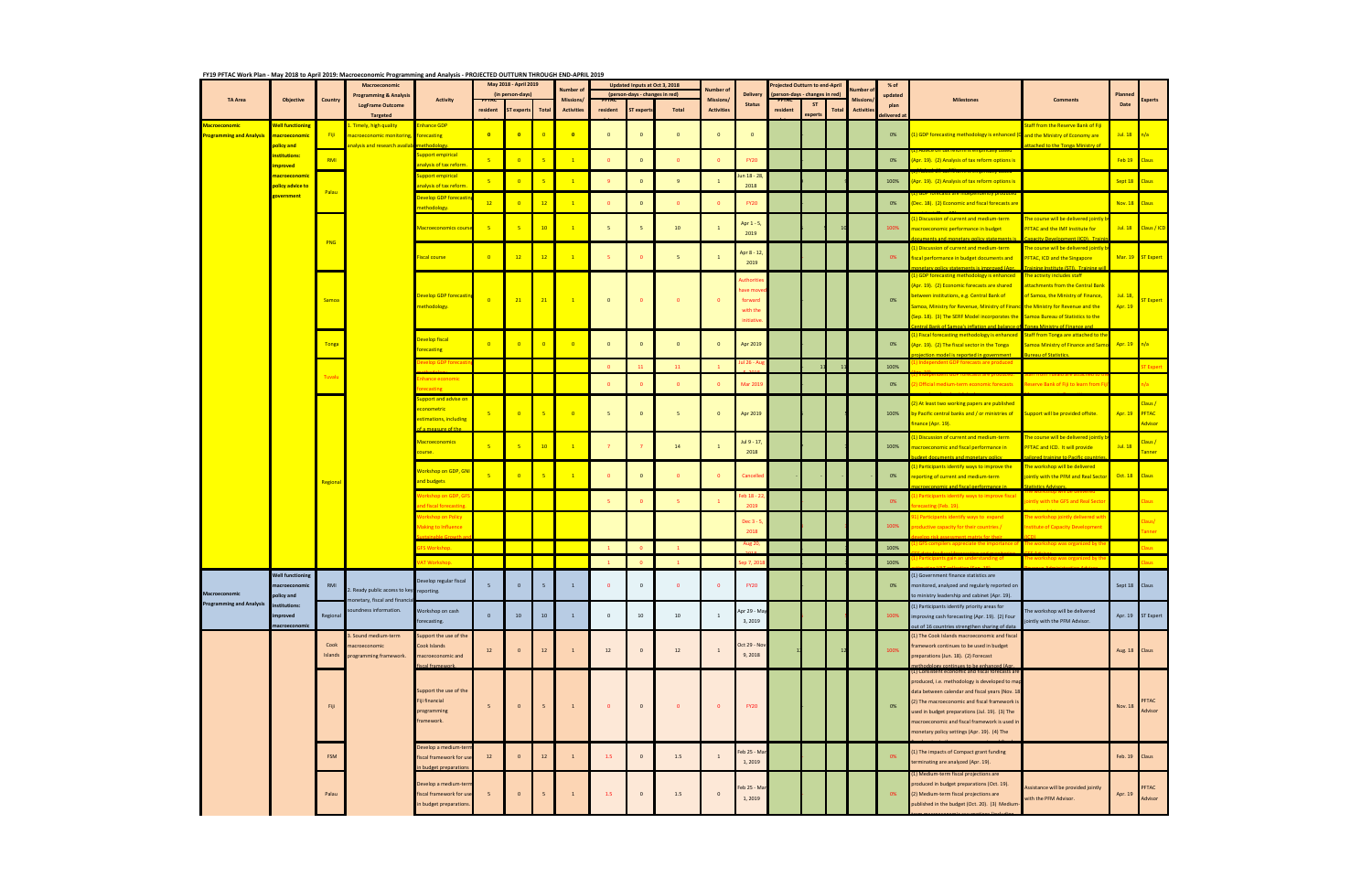## **FY19 PFTAC Work Plan ‐ May 2018 to April 2019: Macroeconomic Programming and Analysis ‐ PROJECTED OUTTURN THROUGH END‐APRIL 2019**

|                                                         |                                                        |                 | Macroeconomic                                                                      |                                                                                  | <u>FY19 PFTAC WORK PIAN - May 2018 to April 2019: Macroeconomic Programming and Analysis - PROJECTED OUTTORN THROUGH END-APRIL 2019</u><br>May 2018 - April 2019 |                  |                | <b>Number of</b>        | Updated Inputs at Oct 3, 2018<br>(person-days - changes in red) |                   | Number of       |                         |                                                           | rojected Outturn to end-April<br>person-days - changes in red) |           | % of<br>lumber |                 |                 |                                                                                                                                                                                                                                                                                                                                                                |                                                                                                                                              |                    |                                    |
|---------------------------------------------------------|--------------------------------------------------------|-----------------|------------------------------------------------------------------------------------|----------------------------------------------------------------------------------|------------------------------------------------------------------------------------------------------------------------------------------------------------------|------------------|----------------|-------------------------|-----------------------------------------------------------------|-------------------|-----------------|-------------------------|-----------------------------------------------------------|----------------------------------------------------------------|-----------|----------------|-----------------|-----------------|----------------------------------------------------------------------------------------------------------------------------------------------------------------------------------------------------------------------------------------------------------------------------------------------------------------------------------------------------------------|----------------------------------------------------------------------------------------------------------------------------------------------|--------------------|------------------------------------|
| <b>TA Area</b>                                          | <b>Objective</b>                                       | Country         | <b>Programming &amp; Analysis</b><br><b>LogFrame Outcome</b>                       | Activity                                                                         |                                                                                                                                                                  | (in person-days) |                | <b>Missions/</b>        |                                                                 |                   |                 | Missions/               | <b>Delivery</b><br><b>Status</b>                          |                                                                | <b>ST</b> |                | <b>Mission:</b> | updated<br>plan | <b>Milestones</b>                                                                                                                                                                                                                                                                                                                                              | <b>Comments</b>                                                                                                                              | Planned<br>Date    | .<br>xperts                        |
|                                                         |                                                        |                 | Targeted                                                                           |                                                                                  | resident                                                                                                                                                         | ST experts       | Total          | <b>Activities</b>       | resident                                                        | <b>ST</b> experts | Total           | <b>Activities</b>       |                                                           | resident                                                       | experts   | <b>Total</b>   | Activitie       | elivered a      |                                                                                                                                                                                                                                                                                                                                                                |                                                                                                                                              |                    |                                    |
| <b>Macroeconomic</b><br><b>Programming and Analysis</b> | <b>Well functioning</b><br>macroeconomic<br>policy and | Fiji            | . Timely, high quality<br>macroeconomic monitoring<br>nalysis and research availab | <b>Enhance GDP</b><br>forecasting                                                | $\blacksquare$                                                                                                                                                   | $\bullet$        | $\overline{0}$ | $\overline{\mathbf{0}}$ | $\mathbf{0}$                                                    | $\mathbf 0$       | $\overline{0}$  | $\overline{0}$          | $\mathbf{0}$                                              |                                                                |           |                |                 | 0%              | 1) GDP forecasting methodology is enhanced (D and the Ministry of Economy are                                                                                                                                                                                                                                                                                  | <b>Staff from the Reserve Bank of Fiji</b><br>ached to the Tonga Ministry of                                                                 | Jul. $18$ n/a      |                                    |
|                                                         | institutions:<br>mproved                               | RMI             |                                                                                    | <b>Support empirical</b><br>nalysis of tax reform                                | $-5$                                                                                                                                                             | $\overline{0}$   | $-5$           | $\mathbf{1}$            | $\mathbf{0}$                                                    | $\mathbf 0$       | $\overline{0}$  | $\bullet$               | <b>FY20</b>                                               |                                                                |           |                |                 | 0%              | Apr. 19). (2) Analysis of tax reform options is                                                                                                                                                                                                                                                                                                                |                                                                                                                                              | Feb 19             | <b>Claus</b>                       |
|                                                         | <mark>macroeconomic</mark><br>policy advice to         |                 |                                                                                    | <b>Support empirical</b><br>nalysis of tax reform                                | $\overline{\phantom{a}}$                                                                                                                                         | $\overline{0}$   | $-5$           |                         | 9                                                               | $\mathbf 0$       | 9               | $\mathbf{1}$            | un 18 - 28<br>2018                                        |                                                                |           |                |                 | 100%            | Apr. 19). (2) Analysis of tax reform options is                                                                                                                                                                                                                                                                                                                |                                                                                                                                              | Sept 18            | Claus                              |
|                                                         | overnment                                              | Palau           |                                                                                    | Develop GDP forecasti                                                            | 12                                                                                                                                                               |                  | 12             |                         | $\Omega$                                                        | $\mathbf{0}$      | $\mathbf{0}$    | $\overline{0}$          | <b>FY20</b>                                               |                                                                |           |                |                 | 0%              | (Dec. 18). (2) Economic and fiscal forecasts are                                                                                                                                                                                                                                                                                                               |                                                                                                                                              | <b>Nov. 18</b>     | <b>Claus</b>                       |
|                                                         |                                                        |                 |                                                                                    | nethodology.                                                                     |                                                                                                                                                                  |                  |                |                         |                                                                 |                   |                 |                         | Apr 1 - 5,                                                |                                                                |           |                |                 |                 | L) Discussion of current and medium-term                                                                                                                                                                                                                                                                                                                       | he course will be delivered jointly l                                                                                                        |                    |                                    |
|                                                         |                                                        | PNG             |                                                                                    | <b>Macroeconomics cours</b>                                                      | $-5$                                                                                                                                                             | -5               | 10             |                         | 5                                                               | 5                 | 10 <sub>1</sub> | $\overline{1}$          | 2019                                                      |                                                                |           |                |                 | 100%            | nacroeconomic performance in budget<br>ments and monetary policy statements is                                                                                                                                                                                                                                                                                 | <b>PFTAC and the IMF Institute for</b><br>nacity Development (ICD) Tra                                                                       |                    | Jul. 18 Claus / ICD                |
|                                                         |                                                        |                 |                                                                                    | Fiscal course                                                                    | $\overline{\phantom{0}}$                                                                                                                                         | 12               | 12             |                         | -5                                                              | $\mathbf{0}$      | 5 <sub>1</sub>  | <sup>1</sup>            | Apr 8 - 12<br>2019                                        |                                                                |           |                |                 | 0%              | L) Discussion of current and medium-term<br>fiscal performance in budget documents and<br><b>Lary nolicy statements is improved (Apr.</b>                                                                                                                                                                                                                      | The course will be delivered jointly<br><b>PFTAC, ICD and the Singapore</b><br>ning Institute (STI) Training                                 |                    | Mar. 19 ST Expert                  |
|                                                         |                                                        | Samoa           |                                                                                    | Develop GDP forecastir<br>methodology.                                           | $\overline{\phantom{0}}$                                                                                                                                         | 21               | 21             | $\overline{1}$          | $\overline{0}$                                                  | $\mathbf{0}$      | $\overline{0}$  | $\overline{0}$          | uthoritie<br>ave mov<br>forward<br>with the<br>initiative |                                                                |           |                |                 | 0%              | L) GDP forecasting methodology is enhanced<br>(Apr. 19). (2) Economic forecasts are shared<br>etween institutions, e.g. Central Bank of<br>Samoa, Ministry for Revenue, Ministry of Finance the Ministry for Revenue and the<br>Sep. 18). (3) The SERF Model incorporates the Samoa Bureau of Statistics to the<br>ntral Bank of Samoa's inflation and balance | The activity includes staff<br><b>Ittachments from the Central Bank</b><br>of Samoa, the Ministry of Finance,<br>nes Minietry of Finance and | Jul. 18<br>Apr. 19 | <mark>ST Expert</mark>             |
|                                                         |                                                        | <b>Tonga</b>    |                                                                                    | Develop fiscal<br><b>Forecasting</b>                                             | $\overline{\phantom{0}}$                                                                                                                                         | $\Omega$         | $\overline{0}$ | $\overline{0}$          | $\overline{0}$                                                  | $\mathbf{0}$      | $\overline{0}$  | $\overline{0}$          | Apr 2019                                                  |                                                                |           |                |                 | 0%              | (1) Fiscal forecasting methodology is enhanced Staff from Tonga are attached to the<br>(Apr. 19). (2) The fiscal sector in the Tonga                                                                                                                                                                                                                           | Samoa Ministry of Finance and Samo                                                                                                           | Apr. $19$ n/a      |                                    |
|                                                         |                                                        |                 |                                                                                    | velop GDP forec <mark>:</mark>                                                   |                                                                                                                                                                  |                  |                |                         | $\mathbf{0}$                                                    | 11                | 11              |                         | ، - 26 ا                                                  |                                                                |           |                |                 | 100%            | tion model is reported in government<br>ndependent GDP forecasts are produced                                                                                                                                                                                                                                                                                  | <b>Pau of Statistics</b>                                                                                                                     |                    | <b>T</b> Expert                    |
|                                                         |                                                        | Tuvalu          |                                                                                    | hance economic<br><b>ecasting</b>                                                |                                                                                                                                                                  |                  |                |                         | $\mathbf{0}$                                                    |                   | $\bullet$       | $\overline{0}$          | Mar 2019                                                  |                                                                |           |                |                 | 0%              | ) Official medium-term economic forecasts                                                                                                                                                                                                                                                                                                                      | Reserve Bank of Fiji to learn from F                                                                                                         |                    | ו/a                                |
|                                                         |                                                        |                 |                                                                                    | upport and advise on<br><mark>econometric</mark><br>estimations, including       |                                                                                                                                                                  | $\overline{0}$   | -5             | $\overline{0}$          | 5                                                               | $\mathbf{0}$      | 5               | $\mathbf{0}$            | Apr 2019                                                  |                                                                |           |                |                 | 100%            | 2) At least two working papers are published<br>by Pacific central banks and / or ministries of<br>inance (Apr. 19).                                                                                                                                                                                                                                           | upport will be provided offsite.                                                                                                             | Apr. 19            | Claus /<br><b>PFTAC</b><br>Advisor |
|                                                         |                                                        |                 |                                                                                    | <b>Macroeconomics</b><br><mark>course.</mark>                                    | $-5$                                                                                                                                                             | -5               | 10             |                         |                                                                 |                   | 14              | $\mathbf{1}$            | Jul 9 - 17,<br>2018                                       |                                                                |           |                |                 | 100%            | 1) Discussion of current and medium-term<br>nacroeconomic and fiscal performance in<br>lget documents and monetary policy                                                                                                                                                                                                                                      | he course will be delivered jointly<br>PFTAC and ICD. It will provide<br>ored training to Pacific cou                                        | <b>Jul. 18</b>     | Claus /<br><b><u>Fanner</u></b>    |
|                                                         |                                                        | Regional        |                                                                                    | Workshop on GDP, GNI<br>and budgets                                              |                                                                                                                                                                  | $\Omega$         | -5             |                         | $\Omega$                                                        | $\mathbf{0}$      | $\overline{0}$  | $\overline{0}$          | Cancelled                                                 |                                                                |           |                |                 | 0%              | 1) Participants identify ways to improve the<br>eporting of current and medium-term<br>ic and fiscal norformance                                                                                                                                                                                                                                               | The workshop will be delivered<br>ointly with the PFM and Real Sector                                                                        | Oct. 18 Claus      |                                    |
|                                                         |                                                        |                 |                                                                                    | Norkshop on GDP, GF!<br>d fiscal forecasting                                     |                                                                                                                                                                  |                  |                |                         |                                                                 | $\mathbf{0}$      | 5 <sub>1</sub>  |                         | eb 18 - 2:<br>2019                                        |                                                                |           |                |                 | 0%              | L) Participants identify ways to improve fiscal<br>recasting (Feb. 19).                                                                                                                                                                                                                                                                                        | intly with the GFS and Real Sector                                                                                                           |                    | laus:                              |
|                                                         |                                                        |                 |                                                                                    | Vorkshop on Policy<br>Aaking to Influence                                        |                                                                                                                                                                  |                  |                |                         |                                                                 |                   |                 |                         | Dec 3 - 5<br>2018                                         |                                                                |           |                |                 | 100%            | 1) Participants identify ways to expand<br>oductive capacity for their countries /                                                                                                                                                                                                                                                                             | he workshop jointly delivered wit <mark>l</mark><br>nstitute of Capacity Development                                                         |                    | laus/<br>anner                     |
|                                                         |                                                        |                 |                                                                                    | <b>SFS Workshop.</b>                                                             |                                                                                                                                                                  |                  |                |                         |                                                                 | $\mathbf{0}$      |                 |                         | Aug 20,                                                   |                                                                |           |                |                 | 100%            | GFS compilers appreciate the importance                                                                                                                                                                                                                                                                                                                        | ie workshop was organized by tl                                                                                                              |                    |                                    |
|                                                         |                                                        |                 |                                                                                    | AT Workshop.                                                                     |                                                                                                                                                                  |                  |                |                         |                                                                 |                   |                 |                         | $-0.7.2$                                                  |                                                                |           |                |                 | 100%            | its gain an understanding of                                                                                                                                                                                                                                                                                                                                   | 'he workshop was organized by t                                                                                                              |                    |                                    |
| Macroeconomic                                           | <b>Well functioning</b><br>nacroeconomic<br>policy and | RMI             | 2. Ready public access to key reporting.                                           | Develop regular fiscal                                                           | 5                                                                                                                                                                | $\overline{0}$   | 5              | $\mathbf{1}$            | $\mathbf{0}$                                                    | $\mathbf{0}$      | $\mathbf{0}$    | $\overline{\mathbf{0}}$ | <b>FY20</b>                                               |                                                                |           |                |                 | 0%              | (1) Government finance statistics are<br>monitored, analyzed and regularly reported on<br>to ministry leadership and cabinet (Apr. 19).                                                                                                                                                                                                                        |                                                                                                                                              | Sept 18 Claus      |                                    |
| <b>Programming and Analysis</b>                         | institutions:<br>improved                              | Regional        | monetary, fiscal and financia<br>soundness information.                            | Workshop on cash<br>forecasting.                                                 | $\overline{0}$                                                                                                                                                   | 10 <sup>10</sup> | 10             | $\mathbf{1}$            | $\overline{0}$                                                  | 10                | 10              | 1                       | Apr 29 - May<br>3, 2019                                   |                                                                |           |                |                 | 100%            | (1) Participants identify priority areas for<br>improving cash forecasting (Apr. 19). (2) Four                                                                                                                                                                                                                                                                 | The workshop will be delivered<br>ointly with the PFM Advisor.                                                                               |                    | Apr. 19 ST Expert                  |
| macroeconomic                                           |                                                        | Cook<br>Islands | Sound medium-term<br>macroeconomic<br>programming framework.<br>Fiji               | Support the use of the<br>Cook Islands<br>macroeconomic and<br>fiscal framework. | $12$                                                                                                                                                             | $\mathbf{0}$     | 12             |                         | 12                                                              | $\mathbf 0$       | 12              | 1                       | Oct 29 - Nov<br>9,2018                                    |                                                                |           |                |                 | 100%            | out of 16 countries strengthen sharing of data<br>(1) The Cook Islands macroeconomic and fiscal<br>framework continues to be used in budget<br>preparations (Jun. 18). (2) Forecast<br>ethodology continues to be enhanced (Apr.                                                                                                                               |                                                                                                                                              | Aug. 18 Claus      |                                    |
|                                                         |                                                        |                 |                                                                                    | Support the use of the<br>Fiji financial<br>programming<br>framework.            | 5                                                                                                                                                                | $\mathbf{0}$     | 5              | $\mathbf{1}$            | $\mathbf{0}$                                                    | $\mathbf 0$       | $\mathbf{0}$    | $\overline{\mathbf{0}}$ | <b>FY20</b>                                               |                                                                |           |                |                 | 0%              | 1) Consistent economic and fiscal forecasts a<br>produced, i.e. methodology is developed to may<br>data between calendar and fiscal years (Nov. 1<br>(2) The macroeconomic and fiscal framework is<br>used in budget preparations (Jul. 19). (3) The<br>macroeconomic and fiscal framework is used in<br>nonetary policy settings (Apr. 19). (4) The           |                                                                                                                                              | Nov. 18            | PFTAC<br>Advisor                   |
|                                                         |                                                        | FSM             |                                                                                    | Develop a medium-ter<br>fiscal framework for us<br>n budget preparations         | 12                                                                                                                                                               | $\mathbf{0}$     | 12             |                         | 1.5                                                             | $\mathbf 0$       | 1.5             | $\mathbf{1}$            | eb 25 - Mai<br>1,2019                                     |                                                                |           |                |                 | 0%              | (1) The impacts of Compact grant funding<br>terminating are analyzed (Apr. 19).                                                                                                                                                                                                                                                                                |                                                                                                                                              | Feb. 19            | Claus                              |
|                                                         |                                                        | Palau           |                                                                                    | Develop a medium-teri<br>fiscal framework for use<br>n budget preparations       | 5                                                                                                                                                                | $\mathbf{0}$     |                | $\mathbf{1}$            | 1.5                                                             | $\mathbf{0}$      | $1.5\,$         | $\mathbf 0$             | Feb 25 - Mai<br>1,2019                                    |                                                                |           |                |                 | 0%              | 1) Medium-term fiscal projections are<br>produced in budget preparations (Oct. 19).<br>(2) Medium-term fiscal projections are<br>published in the budget (Oct. 20). (3) Medium-                                                                                                                                                                                | Assistance will be provided jointly<br>with the PFM Advisor.                                                                                 | Apr. 19            | PFTAC<br>Advisor                   |